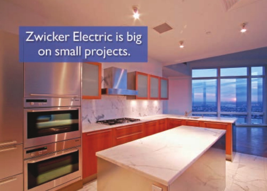# Zwicker Electric is big on small projects.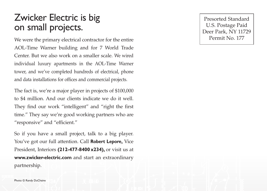### Zwicker Electric is big on small projects.

We were the primary electrical contractor for the entire AOL-Time Warner building and for 7 World Trade Center. But we also work on a smaller scale. We wired individual luxury apartments in the AOL-Time Warner tower, and we've completed hundreds of electrical, phone and data installations for offices and commercial projects.

The fact is, we're a major player in projects of \$100,000 to \$4 million. And our clients indicate we do it well. They find our work "intelligent" and "right the first time." They say we're good working partners who are "responsive" and "efficient."

So if you have a small project, talk to a big player. You've got our full attention. Call **Robert Lepore,** Vice President, Interiors **(212-477-8400 x234),** or visit us at **www.zwicker-electric.com** and start an extraordinary partnership.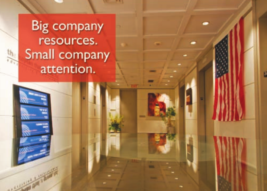**Big company** resources. Small company attention.

 $th$ .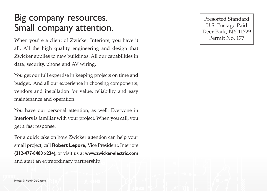### Big company resources. Small company attention.

When you're a client of Zwicker Interiors, you have it all. All the high quality engineering and design that Zwicker applies to new buildings. All our capabilities in data, security, phone and AV wiring.

You get our full expertise in keeping projects on time and budget. And all our experience in choosing components, vendors and installation for value, reliability and easy maintenance and operation.

You have our personal attention, as well. Everyone in Interiors is familiar with your project. When you call, you get a fast response.

For a quick take on how Zwicker attention can help your small project, call **Robert Lepore,** Vice President, Interiors **(212-477-8400 x234),** or visit us at **www.zwicker-electric.com** and start an extraordinary partnership.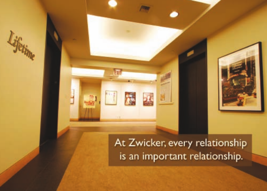## At Zwicker, every relationship is an important relationship.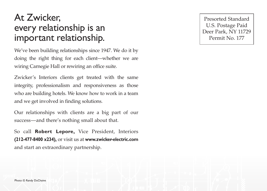### At Zwicker, every relationship is an important relationship.

We've been building relationships since 1947. We do it by doing the right thing for each client—whether we are wiring Carnegie Hall or rewiring an office suite.

Zwicker's Interiors clients get treated with the same integrity, professionalism and responsiveness as those who are building hotels. We know how to work in a team and we get involved in finding solutions.

Our relationships with clients are a big part of our success—and there's nothing small about that.

So call **Robert Lepore,** Vice President, Interiors **(212-477-8400 x234),** or visit us at **www.zwicker-electric.com** and start an extraordinary partnership.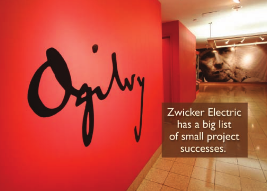**Zwicker Electric** has a big list of small project successes.